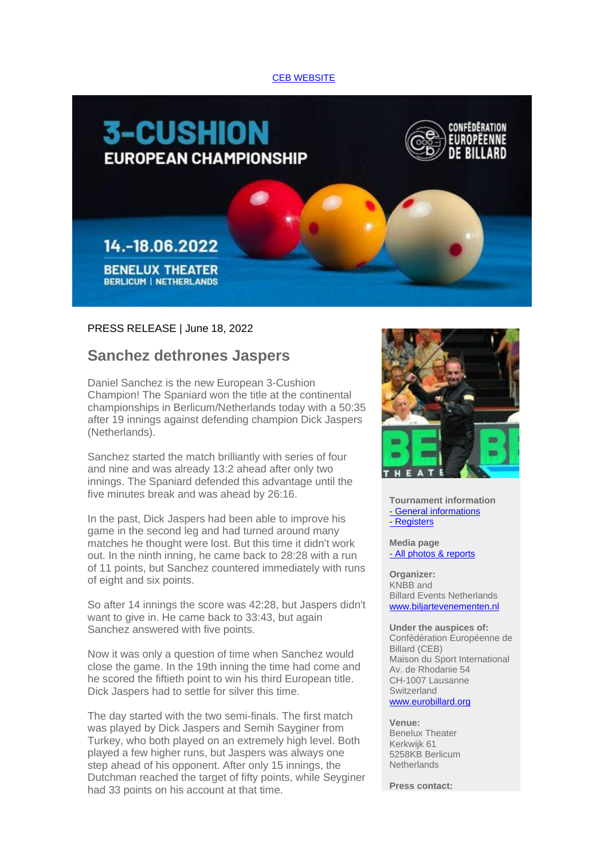## [CEB WEBSITE](https://deref-web.de/mail/client/IHkFMI_zwM0/dereferrer/?redirectUrl=https%3A%2F%2Famxe.net%2Feytp5ow7-gy2utp1v-glzt2ceu-109i)



## PRESS RELEASE | June 18, 2022

## **Sanchez dethrones Jaspers**

Daniel Sanchez is the new European 3-Cushion Champion! The Spaniard won the title at the continental championships in Berlicum/Netherlands today with a 50:35 after 19 innings against defending champion Dick Jaspers (Netherlands).

Sanchez started the match brilliantly with series of four and nine and was already 13:2 ahead after only two innings. The Spaniard defended this advantage until the five minutes break and was ahead by 26:16.

In the past, Dick Jaspers had been able to improve his game in the second leg and had turned around many matches he thought were lost. But this time it didn't work out. In the ninth inning, he came back to 28:28 with a run of 11 points, but Sanchez countered immediately with runs of eight and six points.

So after 14 innings the score was 42:28, but Jaspers didn't want to give in. He came back to 33:43, but again Sanchez answered with five points.

Now it was only a question of time when Sanchez would close the game. In the 19th inning the time had come and he scored the fiftieth point to win his third European title. Dick Jaspers had to settle for silver this time.

The day started with the two semi-finals. The first match was played by Dick Jaspers and Semih Sayginer from Turkey, who both played on an extremely high level. Both played a few higher runs, but Jaspers was always one step ahead of his opponent. After only 15 innings, the Dutchman reached the target of fifty points, while Seyginer had 33 points on his account at that time.



**Tournament information** - [General informations](https://deref-web.de/mail/client/eG-2ssE2SEI/dereferrer/?redirectUrl=https%3A%2F%2Famxe.net%2Feytp5ow7-gy2utp1v-uleb3ppy-oti) - [Registers](https://deref-web.de/mail/client/3zt52ZTQa0k/dereferrer/?redirectUrl=https%3A%2F%2Famxe.net%2Feytp5ow7-gy2utp1v-ye91sism-12wo)

**Media page** - [All photos & reports](https://deref-web.de/mail/client/X4xn7TfvoXI/dereferrer/?redirectUrl=https%3A%2F%2Famxe.net%2Feytp5ow7-gy2utp1v-4yyfk1lu-12cp)

**Organizer:** KNBB and Billard Events Netherlands [www.biljartevenementen.nl](https://deref-web.de/mail/client/3VqFrhuO4Jw/dereferrer/?redirectUrl=https%3A%2F%2Famxe.net%2Feytp5ow7-gy2utp1v-9kfwn837-9o9)

**Under the auspices of:** Confédération Européenne de Billard (CEB) Maison du Sport International Av. de Rhodanie 54 CH-1007 Lausanne **Switzerland** [www.eurobillard.org](https://deref-web.de/mail/client/5X23KiUa8mo/dereferrer/?redirectUrl=https%3A%2F%2Famxe.net%2Feytp5ow7-gy2utp1v-d9vra1c7-76u)

**Venue:** Benelux Theater Kerkwijk 61 5258KB Berlicum **Netherlands** 

**Press contact:**